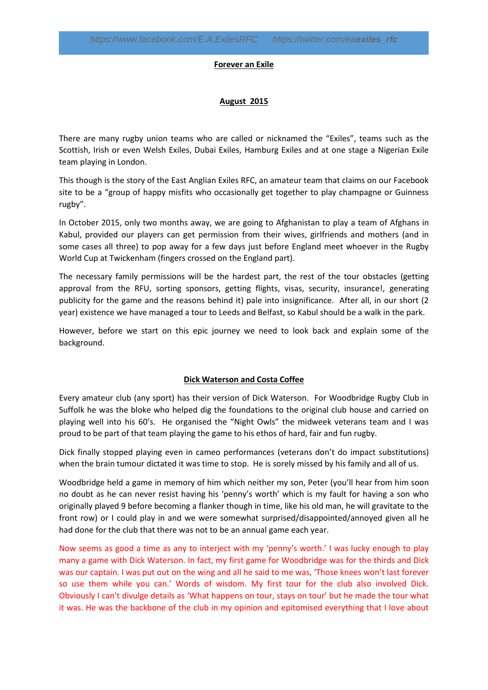#### **Forever an Exile**

### **August 2015**

There are many rugby union teams who are called or nicknamed the "Exiles", teams such as the Scottish, Irish or even Welsh Exiles, Dubai Exiles, Hamburg Exiles and at one stage a Nigerian Exile team playing in London.

This though is the story of the East Anglian Exiles RFC, an amateur team that claims on our Facebook site to be a "group of happy misfits who occasionally get together to play champagne or Guinness rugby".

In October 2015, only two months away, we are going to Afghanistan to play a team of Afghans in Kabul, provided our players can get permission from their wives, girlfriends and mothers (and in some cases all three) to pop away for a few days just before England meet whoever in the Rugby World Cup at Twickenham (fingers crossed on the England part).

The necessary family permissions will be the hardest part, the rest of the tour obstacles (getting approval from the RFU, sorting sponsors, getting flights, visas, security, insurance!, generating publicity for the game and the reasons behind it) pale into insignificance. After all, in our short (2 year) existence we have managed a tour to Leeds and Belfast, so Kabul should be a walk in the park.

However, before we start on this epic journey we need to look back and explain some of the background.

## **Dick Waterson and Costa Coffee**

Every amateur club (any sport) has their version of Dick Waterson. For Woodbridge Rugby Club in Suffolk he was the bloke who helped dig the foundations to the original club house and carried on playing well into his 60's. He organised the "Night Owls" the midweek veterans team and I was proud to be part of that team playing the game to his ethos of hard, fair and fun rugby.

Dick finally stopped playing even in cameo performances (veterans don't do impact substitutions) when the brain tumour dictated it was time to stop. He is sorely missed by his family and all of us.

Woodbridge held a game in memory of him which neither my son, Peter (you'll hear from him soon no doubt as he can never resist having his 'penny's worth' which is my fault for having a son who originally played 9 before becoming a flanker though in time, like his old man, he will gravitate to the front row) or I could play in and we were somewhat surprised/disappointed/annoyed given all he had done for the club that there was not to be an annual game each year.

Now seems as good a time as any to interject with my 'penny's worth.' I was lucky enough to play many a game with Dick Waterson. In fact, my first game for Woodbridge was for the thirds and Dick was our captain. I was put out on the wing and all he said to me was, 'Those knees won't last forever so use them while you can.' Words of wisdom. My first tour for the club also involved Dick. Obviously I can't divulge details as 'What happens on tour, stays on tour' but he made the tour what it was. He was the backbone of the club in my opinion and epitomised everything that I love about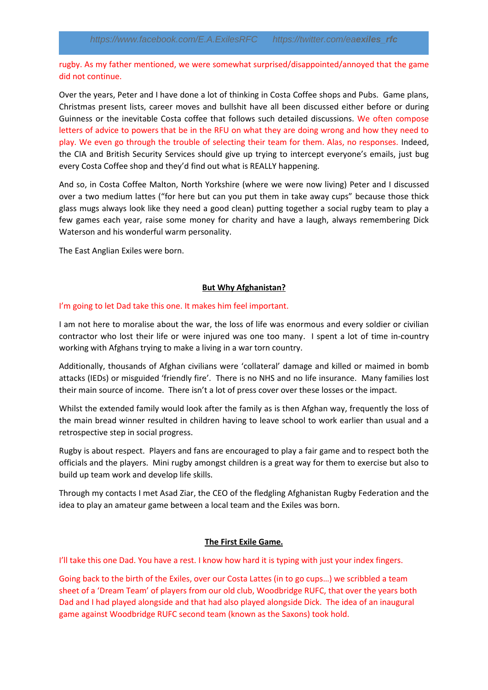rugby. As my father mentioned, we were somewhat surprised/disappointed/annoyed that the game did not continue.

Over the years, Peter and I have done a lot of thinking in Costa Coffee shops and Pubs. Game plans, Christmas present lists, career moves and bullshit have all been discussed either before or during Guinness or the inevitable Costa coffee that follows such detailed discussions. We often compose letters of advice to powers that be in the RFU on what they are doing wrong and how they need to play. We even go through the trouble of selecting their team for them. Alas, no responses. Indeed, the CIA and British Security Services should give up trying to intercept everyone's emails, just bug every Costa Coffee shop and they'd find out what is REALLY happening.

And so, in Costa Coffee Malton, North Yorkshire (where we were now living) Peter and I discussed over a two medium lattes ("for here but can you put them in take away cups" because those thick glass mugs always look like they need a good clean) putting together a social rugby team to play a few games each year, raise some money for charity and have a laugh, always remembering Dick Waterson and his wonderful warm personality.

The East Anglian Exiles were born.

# **But Why Afghanistan?**

# I'm going to let Dad take this one. It makes him feel important.

I am not here to moralise about the war, the loss of life was enormous and every soldier or civilian contractor who lost their life or were injured was one too many. I spent a lot of time in-country working with Afghans trying to make a living in a war torn country.

Additionally, thousands of Afghan civilians were 'collateral' damage and killed or maimed in bomb attacks (IEDs) or misguided 'friendly fire'. There is no NHS and no life insurance. Many families lost their main source of income. There isn't a lot of press cover over these losses or the impact.

Whilst the extended family would look after the family as is then Afghan way, frequently the loss of the main bread winner resulted in children having to leave school to work earlier than usual and a retrospective step in social progress.

Rugby is about respect. Players and fans are encouraged to play a fair game and to respect both the officials and the players. Mini rugby amongst children is a great way for them to exercise but also to build up team work and develop life skills.

Through my contacts I met Asad Ziar, the CEO of the fledgling Afghanistan Rugby Federation and the idea to play an amateur game between a local team and the Exiles was born.

## **The First Exile Game.**

I'll take this one Dad. You have a rest. I know how hard it is typing with just your index fingers.

Going back to the birth of the Exiles, over our Costa Lattes (in to go cups…) we scribbled a team sheet of a 'Dream Team' of players from our old club, Woodbridge RUFC, that over the years both Dad and I had played alongside and that had also played alongside Dick. The idea of an inaugural game against Woodbridge RUFC second team (known as the Saxons) took hold.